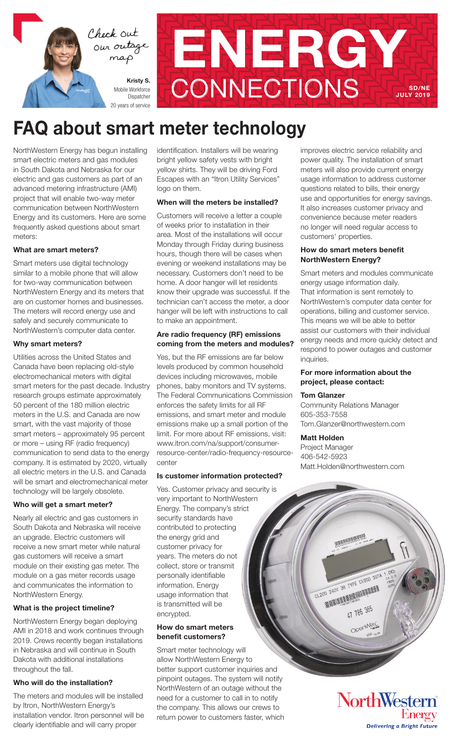



# FAQ about smart meter technology

NorthWestern Energy has begun installing smart electric meters and gas modules in South Dakota and Nebraska for our electric and gas customers as part of an advanced metering infrastructure (AMI) project that will enable two-way meter communication between NorthWestern Energy and its customers. Here are some frequently asked questions about smart meters:

#### What are smart meters?

Smart meters use digital technology similar to a mobile phone that will allow for two-way communication between NorthWestern Energy and its meters that are on customer homes and businesses. The meters will record energy use and safely and securely communicate to NorthWestern's computer data center.

#### Why smart meters?

Utilities across the United States and Canada have been replacing old-style electromechanical meters with digital smart meters for the past decade. Industry research groups estimate approximately 50 percent of the 180 million electric meters in the U.S. and Canada are now smart, with the vast majority of those smart meters – approximately 95 percent or more – using RF (radio frequency) communication to send data to the energy company. It is estimated by 2020, virtually all electric meters in the U.S. and Canada will be smart and electromechanical meter technology will be largely obsolete.

#### Who will get a smart meter?

Nearly all electric and gas customers in South Dakota and Nebraska will receive an upgrade. Electric customers will receive a new smart meter while natural gas customers will receive a smart module on their existing gas meter. The module on a gas meter records usage and communicates the information to NorthWestern Energy.

# What is the project timeline?

NorthWestern Energy began deploying AMI in 2018 and work continues through 2019. Crews recently began installations in Nebraska and will continue in South Dakota with additional installations throughout the fall.

# Who will do the installation?

The meters and modules will be installed by Itron, NorthWestern Energy's installation vendor. Itron personnel will be clearly identifiable and will carry proper

identification. Installers will be wearing bright yellow safety vests with bright yellow shirts. They will be driving Ford Escapes with an "Itron Utility Services" logo on them.

# When will the meters be installed?

Customers will receive a letter a couple of weeks prior to installation in their area. Most of the installations will occur Monday through Friday during business hours, though there will be cases when evening or weekend installations may be necessary. Customers don't need to be home. A door hanger will let residents know their upgrade was successful. If the technician can't access the meter, a door hanger will be left with instructions to call to make an appointment.

# Are radio frequency (RF) emissions coming from the meters and modules?

Yes, but the RF emissions are far below levels produced by common household devices including microwaves, mobile phones, baby monitors and TV systems. The Federal Communications Commission enforces the safety limits for all RF emissions, and smart meter and module emissions make up a small portion of the limit. For more about RF emissions, visit: www.itron.com/na/support/consumerresource-center/radio-frequency-resourcecenter

# Is customer information protected?

Yes. Customer privacy and security is very important to NorthWestern Energy. The company's strict security standards have contributed to protecting the energy grid and customer privacy for years. The meters do not collect, store or transmit personally identifiable information. Energy usage information that is transmitted will be encrypted.

#### How do smart meters benefit customers?

Smart meter technology will allow NorthWestern Energy to better support customer inquiries and pinpoint outages. The system will notify NorthWestern of an outage without the need for a customer to call in to notify the company. This allows our crews to return power to customers faster, which improves electric service reliability and power quality. The installation of smart meters will also provide current energy usage information to address customer questions related to bills, their energy use and opportunities for energy savings. It also increases customer privacy and convenience because meter readers no longer will need regular access to customers' properties.

#### How do smart meters benefit NorthWestern Energy?

Smart meters and modules communicate energy usage information daily. That information is sent remotely to NorthWestern's computer data center for operations, billing and customer service. This means we will be able to better assist our customers with their individual energy needs and more quickly detect and respond to power outages and customer inquiries.

#### For more information about the project, please contact:

#### Tom Glanzer

Community Relations Manager 605-353-7558 Tom.Glanzer@northwestern.com

#### Matt Holden

Project Manager 406-542-5923 Matt.Holden@northwestern.com

> OL200 240V 3W TYPE OVSOD 30TA 00 240V 3W TYPE CV30<br>00 240V 3W TYPE CV30

47 786 365

Open<sup>Way</sup>